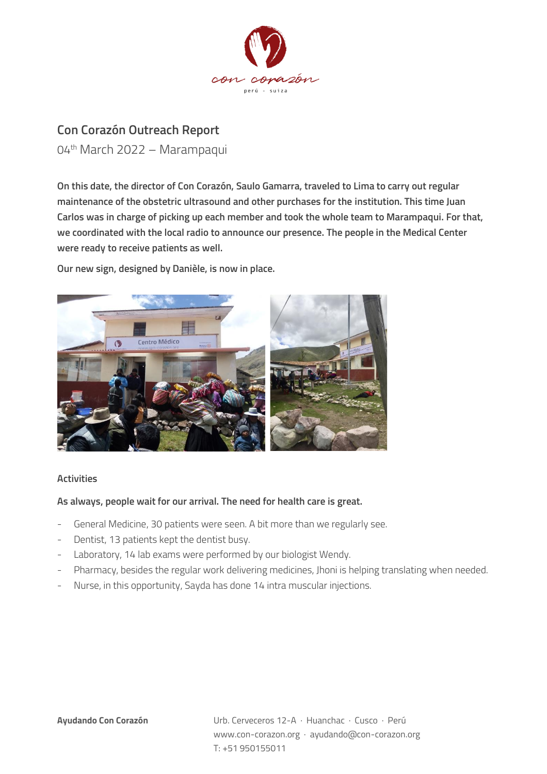

## **Con Corazón Outreach Report**

04th March 2022 – Marampaqui

**On this date, the director of Con Corazón, Saulo Gamarra, traveled to Lima to carry out regular maintenance of the obstetric ultrasound and other purchases for the institution. This time Juan Carlos was in charge of picking up each member and took the whole team to Marampaqui. For that, we coordinated with the local radio to announce our presence. The people in the Medical Center were ready to receive patients as well.**

**Our new sign, designed by Danièle, is now in place.**



## **Activities**

## **As always, people wait for our arrival. The need for health care is great.**

- General Medicine, 30 patients were seen. A bit more than we regularly see.
- Dentist, 13 patients kept the dentist busy.
- Laboratory, 14 lab exams were performed by our biologist Wendy.
- Pharmacy, besides the regular work delivering medicines, Jhoni is helping translating when needed.
- Nurse, in this opportunity, Sayda has done 14 intra muscular injections.